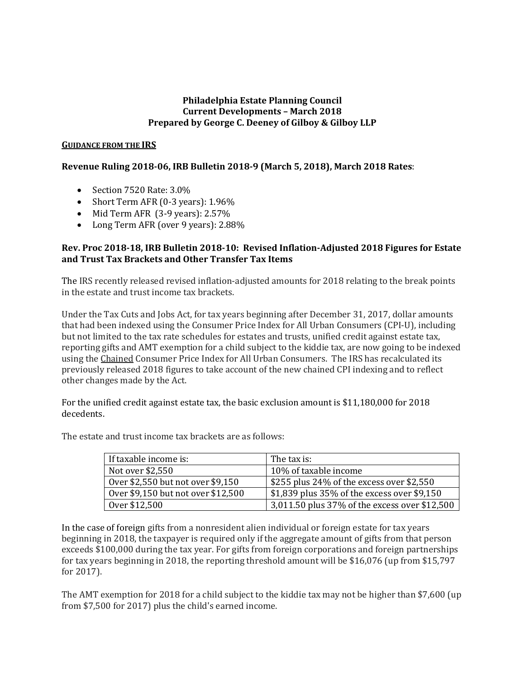## **Philadelphia Estate Planning Council Current Developments – March 2018 Prepared by George C. Deeney of Gilboy & Gilboy LLP**

### **GUIDANCE FROM THE IRS**

# **Revenue Ruling 2018-06, IRB Bulletin 2018-9 (March 5, 2018), March 2018 Rates**:

- Section 7520 Rate: 3.0%
- Short Term AFR (0-3 years): 1.96%
- Mid Term AFR (3-9 years): 2.57%
- Long Term AFR (over 9 years): 2.88%

## **Rev. Proc 2018-18, IRB Bulletin 2018-10: Revised Inflation-Adjusted 2018 Figures for Estate and Trust Tax Brackets and Other Transfer Tax Items**

The IRS recently released revised inflation-adjusted amounts for 2018 relating to the break points in the estate and trust income tax brackets.

Under the Tax Cuts and Jobs Act, for tax years beginning after December 31, 2017, dollar amounts that had been indexed using the Consumer Price Index for All Urban Consumers (CPI-U), including but not limited to the tax rate schedules for estates and trusts, unified credit against estate tax, reporting gifts and AMT exemption for a child subject to the kiddie tax, are now going to be indexed using the Chained Consumer Price Index for All Urban Consumers. The IRS has recalculated its previously released 2018 figures to take account of the new chained CPI indexing and to reflect other changes made by the Act.

For the unified credit against estate tax, the basic exclusion amount is \$11,180,000 for 2018 decedents.

| If taxable income is:              | The tax is:                                   |
|------------------------------------|-----------------------------------------------|
| Not over \$2,550                   | 10% of taxable income                         |
| Over \$2,550 but not over \$9,150  | \$255 plus 24% of the excess over \$2,550     |
| Over \$9,150 but not over \$12,500 | \$1,839 plus 35% of the excess over \$9,150   |
| Over \$12,500                      | 3,011.50 plus 37% of the excess over \$12,500 |

The estate and trust income tax brackets are as follows:

In the case of foreign gifts from a nonresident alien individual or foreign estate for tax years beginning in 2018, the taxpayer is required only if the aggregate amount of gifts from that person exceeds \$100,000 during the tax year. For gifts from foreign corporations and foreign partnerships for tax years beginning in 2018, the reporting threshold amount will be \$16,076 (up from \$15,797 for 2017).

The AMT exemption for 2018 for a child subject to the kiddie tax may not be higher than \$7,600 (up from \$7,500 for 2017) plus the child's earned income.